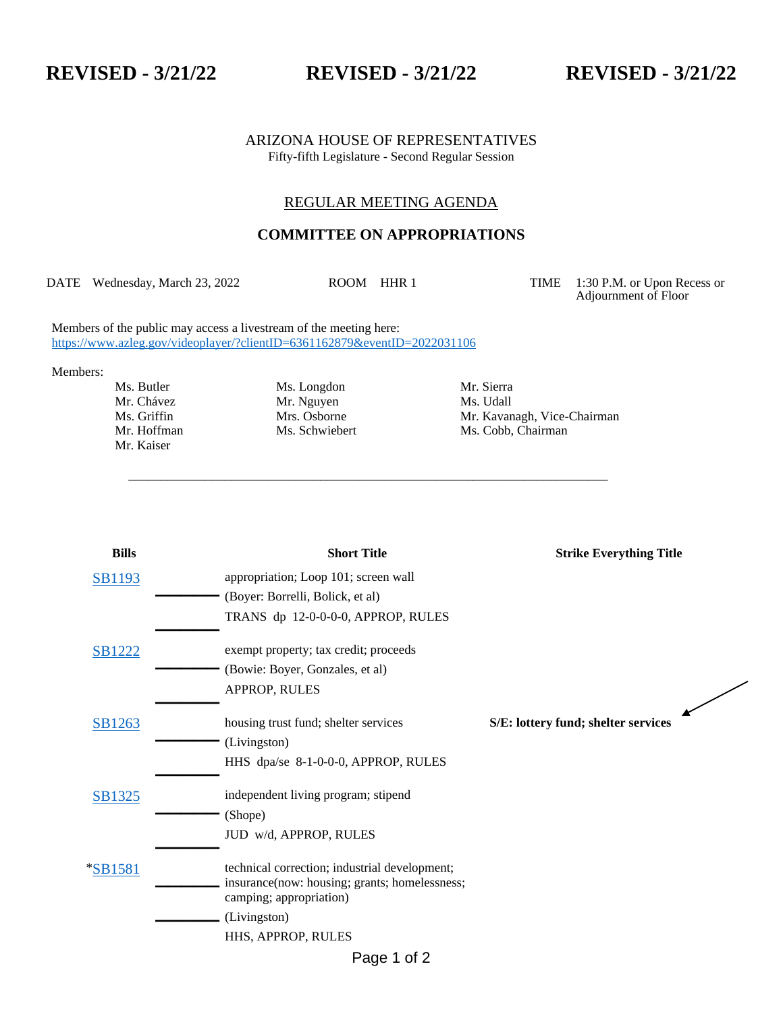## **REVISED - 3/21/22 REVISED - 3/21/22 REVISED - 3/21/22**

ARIZONA HOUSE OF REPRESENTATIVES Fifty-fifth Legislature - Second Regular Session

## REGULAR MEETING AGENDA

## **COMMITTEE ON APPROPRIATIONS**

DATE Wednesday, March 23, 2022 ROOM HHR 1 TIME 1:30 P.M. or Upon Recess or

\_\_\_\_\_\_\_\_\_\_\_\_\_\_\_\_\_\_\_\_\_\_\_\_\_\_\_\_\_\_\_\_\_\_\_\_\_\_\_\_\_\_\_\_\_\_\_\_\_\_\_\_\_\_\_\_\_\_\_\_\_\_\_\_\_\_\_\_\_\_\_\_\_\_\_

Adjournment of Floor

Members of the public may access a livestream of the meeting here: <https://www.azleg.gov/videoplayer/?clientID=6361162879&eventID=2022031106>

Members:

Mr. Chávez Mr. Nguyen Mr. Kaiser

Ms. Butler Ms. Longdon Mr. Sierra<br>
Mr. Chávez Mr. Nguyen Ms. Udall

Ms. Griffin Mrs. Osborne Mrs. Mr. Kavanagh, Vice-Chairman<br>Mr. Hoffman Ms. Schwiebert Ms. Cobb. Chairman Ms. Cobb, Chairman

| <b>Bills</b>  | <b>Short Title</b>                                                                                                        | <b>Strike Everything Title</b>      |
|---------------|---------------------------------------------------------------------------------------------------------------------------|-------------------------------------|
| <b>SB1193</b> | appropriation; Loop 101; screen wall                                                                                      |                                     |
|               | (Boyer: Borrelli, Bolick, et al)                                                                                          |                                     |
|               | TRANS dp 12-0-0-0-0, APPROP, RULES                                                                                        |                                     |
| <b>SB1222</b> | exempt property; tax credit; proceeds                                                                                     |                                     |
|               | (Bowie: Boyer, Gonzales, et al)                                                                                           |                                     |
|               | APPROP, RULES                                                                                                             |                                     |
| SB1263        | housing trust fund; shelter services                                                                                      | S/E: lottery fund; shelter services |
|               | (Livingston)                                                                                                              |                                     |
|               | HHS dpa/se 8-1-0-0-0, APPROP, RULES                                                                                       |                                     |
| SB1325        | independent living program; stipend                                                                                       |                                     |
|               | (Shope)                                                                                                                   |                                     |
|               | JUD w/d, APPROP, RULES                                                                                                    |                                     |
| *SB1581       | technical correction; industrial development;<br>insurance(now: housing; grants; homelessness;<br>camping; appropriation) |                                     |
|               | (Livingston)                                                                                                              |                                     |
|               | HHS, APPROP, RULES                                                                                                        |                                     |
|               | $D_{0}$ an 1 of 2                                                                                                         |                                     |